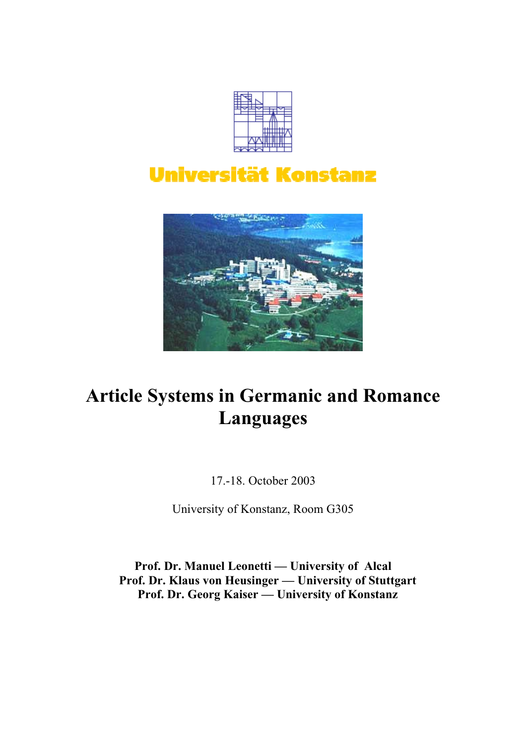

# **Universität Konstanz**



# **Article Systems in Germanic and Romance Languages**

17.-18. October 2003

University of Konstanz, Room G305

**Prof. Dr. Manuel Leonetti — University of Alcal Prof. Dr. Klaus von Heusinger — University of Stuttgart Prof. Dr. Georg Kaiser — University of Konstanz**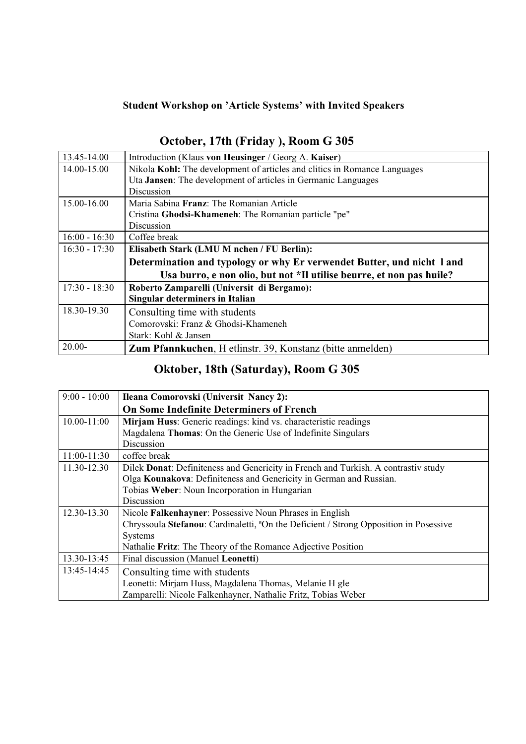# **Student Workshop on 'Article Systems' with Invited Speakers**

| 13.45-14.00     | Introduction (Klaus von Heusinger / Georg A. Kaiser)                      |  |  |  |  |
|-----------------|---------------------------------------------------------------------------|--|--|--|--|
| 14.00-15.00     | Nikola Kohl: The development of articles and clitics in Romance Languages |  |  |  |  |
|                 | Uta <b>Jansen</b> : The development of articles in Germanic Languages     |  |  |  |  |
|                 | Discussion                                                                |  |  |  |  |
| 15.00-16.00     | Maria Sabina <b>Franz</b> : The Romanian Article                          |  |  |  |  |
|                 | Cristina Ghodsi-Khameneh: The Romanian particle "pe"                      |  |  |  |  |
|                 | Discussion                                                                |  |  |  |  |
| $16:00 - 16:30$ | Coffee break                                                              |  |  |  |  |
| $16:30 - 17:30$ | Elisabeth Stark (LMU M nchen / FU Berlin):                                |  |  |  |  |
|                 | Determination and typology or why Er verwendet Butter, und nicht 1 and    |  |  |  |  |
|                 | Usa burro, e non olio, but not *Il utilise beurre, et non pas huile?      |  |  |  |  |
| $17:30 - 18:30$ | Roberto Zamparelli (Universit di Bergamo):                                |  |  |  |  |
|                 | Singular determiners in Italian                                           |  |  |  |  |
| 18.30-19.30     | Consulting time with students                                             |  |  |  |  |
|                 | Comorovski: Franz & Ghodsi-Khameneh                                       |  |  |  |  |
|                 | Stark: Kohl & Jansen                                                      |  |  |  |  |
| $20.00 -$       | <b>Zum Pfannkuchen, H</b> etlinstr. 39, Konstanz (bitte anmelden)         |  |  |  |  |

# **October, 17th (Friday ), Room G 305**

# **Oktober, 18th (Saturday), Room G 305**

| $9:00 - 10:00$  | Ileana Comorovski (Universit Nancy 2):                                                            |  |  |  |  |
|-----------------|---------------------------------------------------------------------------------------------------|--|--|--|--|
|                 | <b>On Some Indefinite Determiners of French</b>                                                   |  |  |  |  |
| $10.00 - 11:00$ | Mirjam Huss: Generic readings: kind vs. characteristic readings                                   |  |  |  |  |
|                 | Magdalena Thomas: On the Generic Use of Indefinite Singulars                                      |  |  |  |  |
|                 | Discussion                                                                                        |  |  |  |  |
| $11:00-11:30$   | coffee break                                                                                      |  |  |  |  |
| 11.30-12.30     | Dilek Donat: Definiteness and Genericity in French and Turkish. A contrastiv study                |  |  |  |  |
|                 | Olga Kounakova: Definiteness and Genericity in German and Russian.                                |  |  |  |  |
|                 | Tobias Weber: Noun Incorporation in Hungarian                                                     |  |  |  |  |
|                 | Discussion                                                                                        |  |  |  |  |
| 12.30-13.30     | Nicole Falkenhayner: Possessive Noun Phrases in English                                           |  |  |  |  |
|                 | Chryssoula Stefanou: Cardinaletti, <sup>a</sup> On the Deficient / Strong Opposition in Posessive |  |  |  |  |
|                 | <b>Systems</b>                                                                                    |  |  |  |  |
|                 | Nathalie Fritz: The Theory of the Romance Adjective Position                                      |  |  |  |  |
| 13.30-13:45     | Final discussion (Manuel Leonetti)                                                                |  |  |  |  |
| 13:45-14:45     | Consulting time with students                                                                     |  |  |  |  |
|                 | Leonetti: Mirjam Huss, Magdalena Thomas, Melanie H gle                                            |  |  |  |  |
|                 | Zamparelli: Nicole Falkenhayner, Nathalie Fritz, Tobias Weber                                     |  |  |  |  |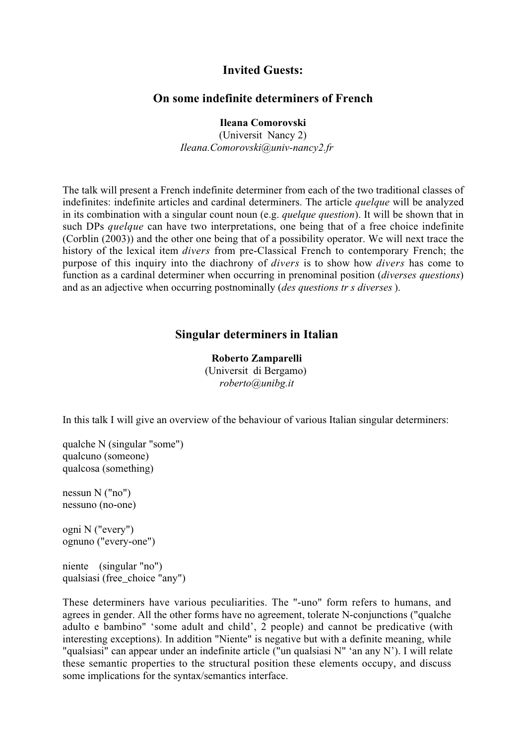## **Invited Guests:**

#### **On some indefinite determiners of French**

**Ileana Comorovski**

(Universit Nancy 2) *Ileana.Comorovski@univ-nancy2.fr*

The talk will present a French indefinite determiner from each of the two traditional classes of indefinites: indefinite articles and cardinal determiners. The article *quelque* will be analyzed in its combination with a singular count noun (e.g. *quelque question*). It will be shown that in such DPs *quelque* can have two interpretations, one being that of a free choice indefinite (Corblin (2003)) and the other one being that of a possibility operator. We will next trace the history of the lexical item *divers* from pre-Classical French to contemporary French; the purpose of this inquiry into the diachrony of *divers* is to show how *divers* has come to function as a cardinal determiner when occurring in prenominal position (*diverses questions*) and as an adjective when occurring postnominally (*des questions tr s diverses* ).

#### **Singular determiners in Italian**

**Roberto Zamparelli** (Universit di Bergamo) *roberto@unibg.it*

In this talk I will give an overview of the behaviour of various Italian singular determiners:

qualche N (singular "some") qualcuno (someone) qualcosa (something)

nessun N ("no") nessuno (no-one)

ogni N ("every") ognuno ("every-one")

niente (singular "no") qualsiasi (free\_choice "any")

These determiners have various peculiarities. The "-uno" form refers to humans, and agrees in gender. All the other forms have no agreement, tolerate N-conjunctions ("qualche adulto e bambino" 'some adult and child', 2 people) and cannot be predicative (with interesting exceptions). In addition "Niente" is negative but with a definite meaning, while "qualsiasi" can appear under an indefinite article ("un qualsiasi N" 'an any N'). I will relate these semantic properties to the structural position these elements occupy, and discuss some implications for the syntax/semantics interface.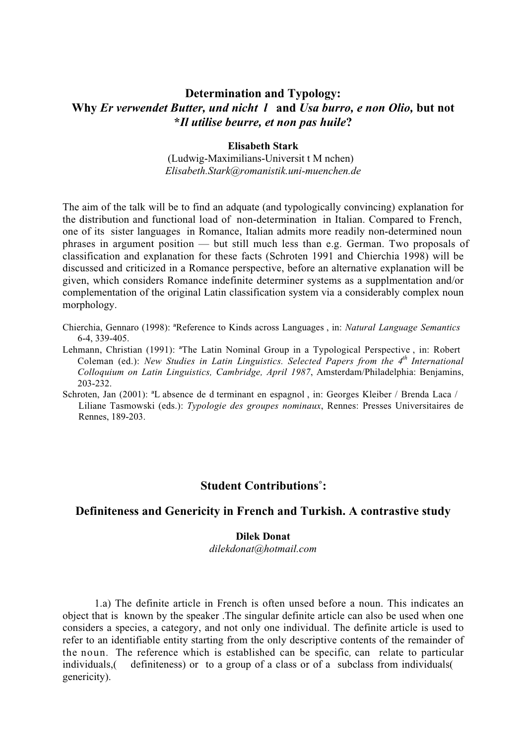# **Determination and Typology: Why** *Er verwendet Butter, und nicht l* **and** *Usa burro, e non Olio,* **but not \****Il utilise beurre, et non pas huile***?**

#### **Elisabeth Stark**

(Ludwig-Maximilians-Universit t M nchen) *Elisabeth.Stark@romanistik.uni-muenchen.de*

The aim of the talk will be to find an adquate (and typologically convincing) explanation for the distribution and functional load of non-determination in Italian. Compared to French, one of its sister languages in Romance, Italian admits more readily non-determined noun phrases in argument position — but still much less than e.g. German. Two proposals of classification and explanation for these facts (Schroten 1991 and Chierchia 1998) will be discussed and criticized in a Romance perspective, before an alternative explanation will be given, which considers Romance indefinite determiner systems as a supplmentation and/or complementation of the original Latin classification system via a considerably complex noun morphology.

- Chierchia, Gennaro (1998): ªReference to Kinds across Languages , in: *Natural Language Semantics* 6-4, 339-405.
- Lehmann, Christian (1991): ªThe Latin Nominal Group in a Typological Perspective , in: Robert Coleman (ed.): *New Studies in Latin Linguistics. Selected Papers from the 4<sup>th</sup> International Colloquium on Latin Linguistics, Cambridge, April 1987*, Amsterdam/Philadelphia: Benjamins, 203-232.
- Schroten, Jan (2001): ªL absence de d terminant en espagnol , in: Georges Kleiber / Brenda Laca / Liliane Tasmowski (eds.): *Typologie des groupes nominaux*, Rennes: Presses Universitaires de Rennes, 189-203.

### **Student Contributions˚:**

#### **Definiteness and Genericity in French and Turkish. A contrastive study**

#### **Dilek Donat**

*dilekdonat@hotmail.com*

1.a) The definite article in French is often unsed before a noun. This indicates an object that is known by the speaker .The singular definite article can also be used when one considers a species, a category, and not only one individual. The definite article is used to refer to an identifiable entity starting from the only descriptive contents of the remainder of the noun*.* The reference which is established can be specific*,* can relate to particular individuals,( definiteness) or to a group of a class or of a subclass from individuals( genericity).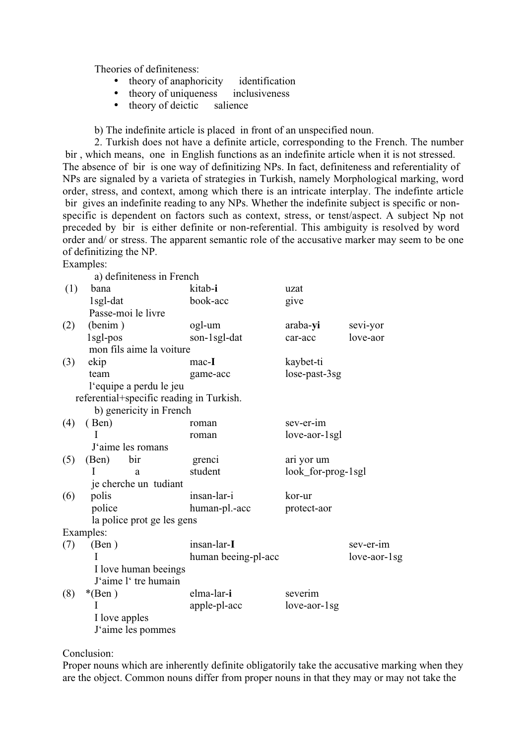Theories of definiteness:

- theory of anaphoricity identification
- theory of uniqueness inclusiveness
- theory of deictic salience

b) The indefinite article is placed in front of an unspecified noun.

2. Turkish does not have a definite article, corresponding to the French. The number bir , which means, one in English functions as an indefinite article when it is not stressed. The absence of bir is one way of definitizing NPs. In fact, definiteness and referentiality of NPs are signaled by a varieta of strategies in Turkish, namely Morphological marking, word order, stress, and context, among which there is an intricate interplay. The indefinte article bir gives an indefinite reading to any NPs. Whether the indefinite subject is specific or nonspecific is dependent on factors such as context, stress, or tenst/aspect. A subject Np not preceded by bir is either definite or non-referential. This ambiguity is resolved by word order and/ or stress. The apparent semantic role of the accusative marker may seem to be one of definitizing the NP.

Examples:

|     |                         | a) definiteness in French                |                     |                    |              |
|-----|-------------------------|------------------------------------------|---------------------|--------------------|--------------|
| (1) | bana                    |                                          | kitab-i             | uzat               |              |
|     | 1sgl-dat                |                                          | book-acc            | give               |              |
|     | Passe-moi le livre      |                                          |                     |                    |              |
| (2) | (benim)                 |                                          | ogl-um              | araba-yi           | sevi-yor     |
|     | 1sgl-pos                |                                          | son-1sgl-dat        | car-acc            | love-aor     |
|     |                         | mon fils aime la voiture                 |                     |                    |              |
| (3) | ekip                    |                                          | $mac-I$             | kaybet-ti          |              |
|     | team                    |                                          | game-acc            | lose-past-3sg      |              |
|     | l'equipe a perdu le jeu |                                          |                     |                    |              |
|     |                         | referential+specific reading in Turkish. |                     |                    |              |
|     |                         | b) genericity in French                  |                     |                    |              |
| (4) | (Ben)                   |                                          | roman               | sev-er-im          |              |
|     | I                       |                                          | roman               | love-aor-1sgl      |              |
|     |                         | J'aime les romans                        |                     |                    |              |
| (5) | (Ben)                   | bir                                      | grenci              | ari yor um         |              |
|     | I.                      | a                                        | student             | look_for-prog-1sgl |              |
|     | je cherche un tudiant   |                                          |                     |                    |              |
| (6) | polis                   |                                          | insan-lar-i         | kor-ur             |              |
|     | police                  |                                          | human-pl.-acc       | protect-aor        |              |
|     |                         | la police prot ge les gens               |                     |                    |              |
|     | Examples:               |                                          |                     |                    |              |
| (7) | (Ben)                   |                                          | insan-lar-I         |                    | sev-er-im    |
|     | T                       |                                          | human beeing-pl-acc |                    | love-aor-1sg |
|     | I love human beeings    |                                          |                     |                    |              |
|     |                         | J'aime l' tre humain                     |                     |                    |              |
| (8) | $*(Ben)$                |                                          | elma-lar-i          | severim            |              |
|     |                         |                                          | apple-pl-acc        | $love-aor-1sg$     |              |
|     | I love apples           |                                          |                     |                    |              |
|     | J'aime les pommes       |                                          |                     |                    |              |

#### Conclusion:

Proper nouns which are inherently definite obligatorily take the accusative marking when they are the object. Common nouns differ from proper nouns in that they may or may not take the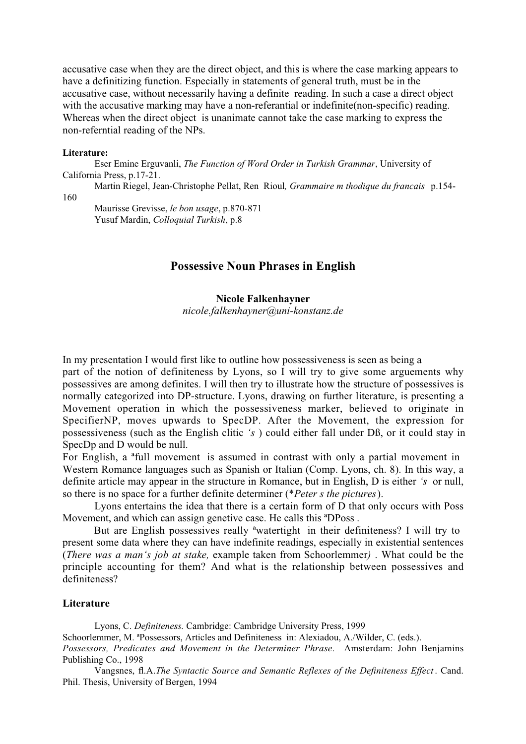accusative case when they are the direct object, and this is where the case marking appears to have a definitizing function. Especially in statements of general truth, must be in the accusative case, without necessarily having a definite reading. In such a case a direct object with the accusative marking may have a non-referantial or indefinite (non-specific) reading. Whereas when the direct object is unanimate cannot take the case marking to express the non-referntial reading of the NPs.

#### **Literature:**

Eser Emine Erguvanli, *The Function of Word Order in Turkish Grammar*, University of California Press, p.17-21.

Martin Riegel, Jean-Christophe Pellat, Ren Rioul*, Grammaire m thodique du francais* p.154- 160

Maurisse Grevisse, *le bon usage*, p.870-871 Yusuf Mardin, *Colloquial Turkish*, p.8

## **Possessive Noun Phrases in English**

**Nicole Falkenhayner** *nicole.falkenhayner@uni-konstanz.de*

In my presentation I would first like to outline how possessiveness is seen as being a part of the notion of definiteness by Lyons, so I will try to give some arguements why possessives are among definites. I will then try to illustrate how the structure of possessives is normally categorized into DP-structure. Lyons, drawing on further literature, is presenting a Movement operation in which the possessiveness marker, believed to originate in SpecifierNP, moves upwards to SpecDP. After the Movement, the expression for possessiveness (such as the English clitic *'s* ) could either fall under Dß, or it could stay in SpecDp and D would be null.

For English, a ªfull movement is assumed in contrast with only a partial movement in Western Romance languages such as Spanish or Italian (Comp. Lyons, ch. 8). In this way, a definite article may appear in the structure in Romance, but in English, D is either *'s* or null, so there is no space for a further definite determiner (\**Peter s the pictures*).

Lyons entertains the idea that there is a certain form of D that only occurs with Poss Movement, and which can assign genetive case. He calls this ªDPoss .

But are English possessives really ªwatertight in their definiteness? I will try to present some data where they can have indefinite readings, especially in existential sentences (*There was a man's job at stake,* example taken from Schoorlemmer*)* . What could be the principle accounting for them? And what is the relationship between possessives and definiteness?

#### **Literature**

Lyons, C. *Definiteness.* Cambridge: Cambridge University Press, 1999 Schoorlemmer, M. ªPossessors, Articles and Definiteness in: Alexiadou, A./Wilder, C. (eds.). *Possessors, Predicates and Movement in the Determiner Phrase*. Amsterdam: John Benjamins Publishing Co., 1998

Vangsnes, fl.A.*The Syntactic Source and Semantic Reflexes of the Definiteness Effect* . Cand. Phil. Thesis, University of Bergen, 1994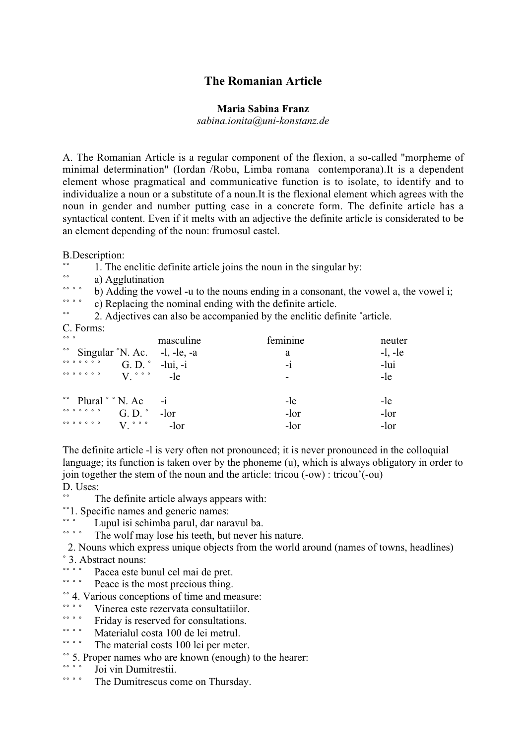# **The Romanian Article**

#### **Maria Sabina Franz**

*sabina.ionita@uni-konstanz.de*

A. The Romanian Article is a regular component of the flexion, a so-called "morpheme of minimal determination" (Iordan /Robu, Limba romana contemporana).It is a dependent element whose pragmatical and communicative function is to isolate, to identify and to individualize a noun or a substitute of a noun.It is the flexional element which agrees with the noun in gender and number putting case in a concrete form. The definite article has a syntactical content. Even if it melts with an adjective the definite article is considerated to be an element depending of the noun: frumosul castel.

B.Description:

- 1. The enclitic definite article joins the noun in the singular by:
- \*\* a) Agglutination

<sup>o</sup>  $\ddot{\cdot}$  b) Adding the vowel -u to the nouns ending in a consonant, the vowel a, the vowel i;

˚˚ ˚ ˚ c) Replacing the nominal ending with the definite article.

2. Adjectives can also be accompanied by the enclitic definite °article.

C. Forms:

| 000                                                                                                                                      | masculine                | feminine | neuter    |
|------------------------------------------------------------------------------------------------------------------------------------------|--------------------------|----------|-----------|
| <sup>oo</sup> Singular °N. Ac. -1, -le, -a                                                                                               |                          | a        | $-l, -le$ |
|                                                                                                                                          | G.D. $^{\circ}$ -lui, -i | $-1$     | -lui      |
| $V$ $\circ$ $\circ$ $\circ$                                                                                                              | -le                      |          | -le       |
| $\degree$ Plural $\degree$ N. Ac -i                                                                                                      |                          | -le      | -le       |
|                                                                                                                                          | G.D. $^{\circ}$ -lor     | -lor     | -lor      |
| $\begin{array}{cccccccccccccc} \circ & \circ & \circ & \circ & \circ & \circ & \circ & \circ \end{array}$<br>$V$ $\circ$ $\circ$ $\circ$ | $-lor$                   | -lor     | -lor      |

The definite article -l is very often not pronounced; it is never pronounced in the colloquial language; its function is taken over by the phoneme (u), which is always obligatory in order to join together the stem of the noun and the article: tricou (-ow) : tricou'(-ou) D. Uses:

- The definite article always appears with:
- \*\*1. Specific names and generic names:
- \*\*\* Lupul isi schimba parul, dar naravul ba.<br>\*\*\* The welf may less his teeth but naver h
- The wolf may lose his teeth, but never his nature.
- 2. Nouns which express unique objects from the world around (names of towns, headlines) ˚ 3. Abstract nouns:
- ˚˚ ˚ ˚ Pacea este bunul cel mai de pret.
- Peace is the most precious thing.
- $\degree$  4. Various conceptions of time and measure:
- • • • Vinerea este rezervata consultatiilor.
- ˚˚ ˚ ˚ Friday is reserved for consultations.
- \*\*\*\* Materialul costa 100 de lei metrul.
- The material costs 100 lei per meter.
- $\degree$  5. Proper names who are known (enough) to the hearer:
- So Joi vin Dumitrestii.
- The Dumitrescus come on Thursday.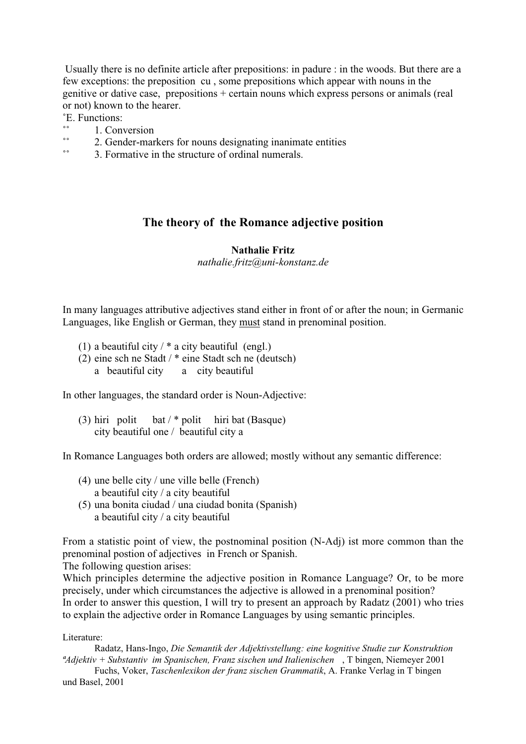Usually there is no definite article after prepositions: in padure : in the woods. But there are a few exceptions: the preposition cu , some prepositions which appear with nouns in the genitive or dative case, prepositions + certain nouns which express persons or animals (real or not) known to the hearer.

˚E. Functions:

- $\frac{\ }{\ }$  1. Conversion
- 2. Gender-markers for nouns designating inanimate entities<br>• 2. Formative in the structure of ordinal numerals
- 3. Formative in the structure of ordinal numerals.

## **The theory of the Romance adjective position**

#### **Nathalie Fritz**

*nathalie.fritz@uni-konstanz.de*

In many languages attributive adjectives stand either in front of or after the noun; in Germanic Languages, like English or German, they must stand in prenominal position.

- (1) a beautiful city  $\ell^*$  a city beautiful (engl.)
- (2) eine sch ne Stadt / \* eine Stadt sch ne (deutsch)
	- a beautiful city a city beautiful

In other languages, the standard order is Noun-Adjective:

(3) hiri polit bat  $/*$  polit hiri bat (Basque) city beautiful one / beautiful city a

In Romance Languages both orders are allowed; mostly without any semantic difference:

- (4) une belle city / une ville belle (French) a beautiful city / a city beautiful
- (5) una bonita ciudad / una ciudad bonita (Spanish) a beautiful city / a city beautiful

From a statistic point of view, the postnominal position (N-Adj) ist more common than the prenominal postion of adjectives in French or Spanish.

The following question arises:

Which principles determine the adjective position in Romance Language? Or, to be more precisely, under which circumstances the adjective is allowed in a prenominal position? In order to answer this question, I will try to present an approach by Radatz (2001) who tries to explain the adjective order in Romance Languages by using semantic principles.

Literature:

Radatz, Hans-Ingo, *Die Semantik der Adjektivstellung: eine kognitive Studie zur Konstruktion ªAdjektiv + Substantiv im Spanischen, Franz sischen und Italienischen* , T bingen, Niemeyer 2001

Fuchs, Voker, *Taschenlexikon der franz sischen Grammatik*, A. Franke Verlag in T bingen und Basel, 2001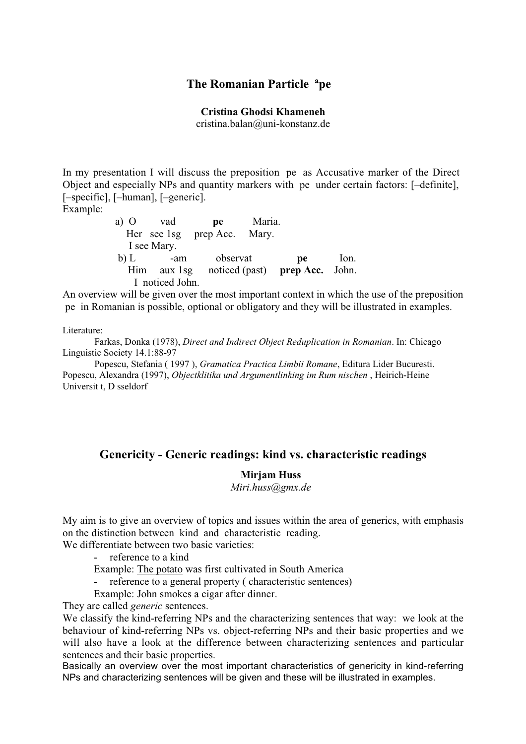## **The Romanian Particle ªpe**

#### **Cristina Ghodsi Khameneh**

cristina.balan@uni-konstanz.de

In my presentation I will discuss the preposition pe as Accusative marker of the Direct Object and especially NPs and quantity markers with pe under certain factors: [–definite], [–specific], [–human], [–generic].

Example:

 a) O vad **pe** Maria. Her see 1sg prep Acc. Mary. I see Mary. b) L -am observat **pe** Ion. Him aux 1sg noticed (past) **prep Acc.** John. I noticed John.

An overview will be given over the most important context in which the use of the preposition pe in Romanian is possible, optional or obligatory and they will be illustrated in examples.

Literature:

Farkas, Donka (1978), *Direct and Indirect Object Reduplication in Romanian*. In: Chicago Linguistic Society 14.1:88-97

Popescu, Stefania ( 1997 ), *Gramatica Practica Limbii Romane*, Editura Lider Bucuresti. Popescu, Alexandra (1997), *Objectklitika und Argumentlinking im Rum nischen* , Heirich-Heine Universit t, D sseldorf

#### **Genericity - Generic readings: kind vs. characteristic readings**

#### **Mirjam Huss**

*Miri.huss@gmx.de*

My aim is to give an overview of topics and issues within the area of generics, with emphasis on the distinction between kind and characteristic reading.

We differentiate between two basic varieties:

- reference to a kind

- Example: The potato was first cultivated in South America
- reference to a general property ( characteristic sentences)
- Example: John smokes a cigar after dinner.

They are called *generic* sentences.

We classify the kind-referring NPs and the characterizing sentences that way: we look at the behaviour of kind-referring NPs vs. object-referring NPs and their basic properties and we will also have a look at the difference between characterizing sentences and particular sentences and their basic properties.

Basically an overview over the most important characteristics of genericity in kind-referring NPs and characterizing sentences will be given and these will be illustrated in examples.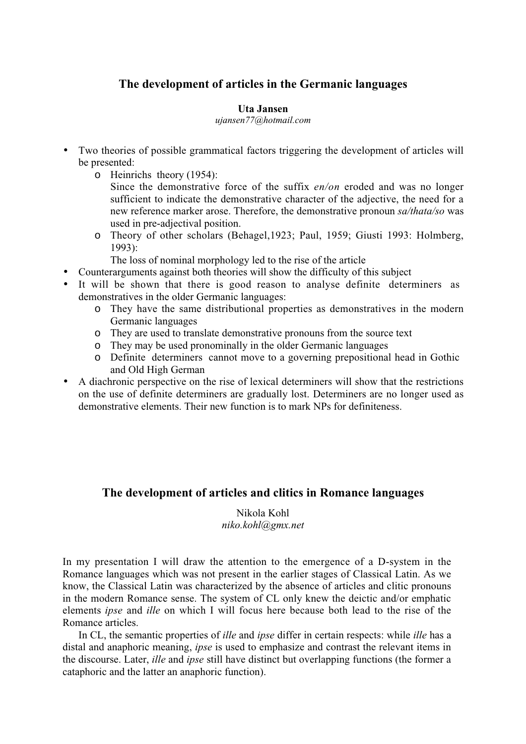# **The development of articles in the Germanic languages**

#### **Uta Jansen**

*ujansen77@hotmail.com*

- Two theories of possible grammatical factors triggering the development of articles will be presented:
	- o Heinrichs theory (1954):

Since the demonstrative force of the suffix *en/on* eroded and was no longer sufficient to indicate the demonstrative character of the adjective, the need for a new reference marker arose. Therefore, the demonstrative pronoun *sa/thata/so* was used in pre-adjectival position.

o Theory of other scholars (Behagel,1923; Paul, 1959; Giusti 1993: Holmberg, 1993):

The loss of nominal morphology led to the rise of the article

- Counterarguments against both theories will show the difficulty of this subject
- It will be shown that there is good reason to analyse definite determiners as demonstratives in the older Germanic languages:
	- o They have the same distributional properties as demonstratives in the modern Germanic languages
	- o They are used to translate demonstrative pronouns from the source text
	- o They may be used pronominally in the older Germanic languages
	- o Definite determiners cannot move to a governing prepositional head in Gothic and Old High German
- A diachronic perspective on the rise of lexical determiners will show that the restrictions on the use of definite determiners are gradually lost. Determiners are no longer used as demonstrative elements. Their new function is to mark NPs for definiteness.

# **The development of articles and clitics in Romance languages**

Nikola Kohl *niko.kohl@gmx.net*

In my presentation I will draw the attention to the emergence of a D-system in the Romance languages which was not present in the earlier stages of Classical Latin. As we know, the Classical Latin was characterized by the absence of articles and clitic pronouns in the modern Romance sense. The system of CL only knew the deictic and/or emphatic elements *ipse* and *ille* on which I will focus here because both lead to the rise of the Romance articles.

In CL, the semantic properties of *ille* and *ipse* differ in certain respects: while *ille* has a distal and anaphoric meaning, *ipse* is used to emphasize and contrast the relevant items in the discourse. Later, *ille* and *ipse* still have distinct but overlapping functions (the former a cataphoric and the latter an anaphoric function).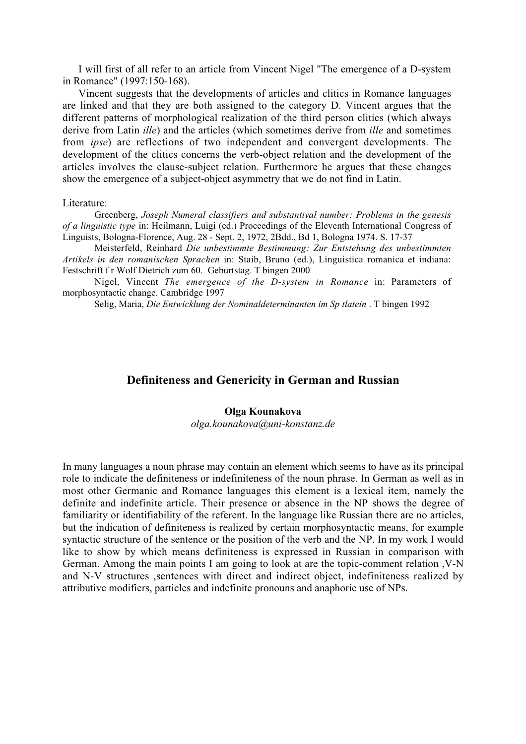I will first of all refer to an article from Vincent Nigel "The emergence of a D-system in Romance" (1997:150-168).

Vincent suggests that the developments of articles and clitics in Romance languages are linked and that they are both assigned to the category D. Vincent argues that the different patterns of morphological realization of the third person clitics (which always derive from Latin *ille*) and the articles (which sometimes derive from *ille* and sometimes from *ipse*) are reflections of two independent and convergent developments. The development of the clitics concerns the verb-object relation and the development of the articles involves the clause-subject relation. Furthermore he argues that these changes show the emergence of a subject-object asymmetry that we do not find in Latin.

#### Literature:

Greenberg, *Joseph Numeral classifiers and substantival number: Problems in the genesis of a linguistic type* in: Heilmann, Luigi (ed.) Proceedings of the Eleventh International Congress of Linguists, Bologna-Florence, Aug. 28 - Sept. 2, 1972, 2Bdd., Bd 1, Bologna 1974. S. 17-37

Meisterfeld, Reinhard *Die unbestimmte Bestimmung: Zur Entstehung des unbestimmten Artikels in den romanischen Sprachen* in: Staib, Bruno (ed.), Linguistica romanica et indiana: Festschrift f r Wolf Dietrich zum 60. Geburtstag. T bingen 2000

Nigel, Vincent *The emergence of the D-system in Romance* in: Parameters of morphosyntactic change. Cambridge 1997

Selig, Maria, *Die Entwicklung der Nominaldeterminanten im Sp tlatein* . T bingen 1992

#### **Definiteness and Genericity in German and Russian**

#### **Olga Kounakova**

*olga.kounakova@uni-konstanz.de*

In many languages a noun phrase may contain an element which seems to have as its principal role to indicate the definiteness or indefiniteness of the noun phrase. In German as well as in most other Germanic and Romance languages this element is a lexical item, namely the definite and indefinite article. Their presence or absence in the NP shows the degree of familiarity or identifiability of the referent. In the language like Russian there are no articles, but the indication of definiteness is realized by certain morphosyntactic means, for example syntactic structure of the sentence or the position of the verb and the NP. In my work I would like to show by which means definiteness is expressed in Russian in comparison with German. Among the main points I am going to look at are the topic-comment relation ,V-N and N-V structures ,sentences with direct and indirect object, indefiniteness realized by attributive modifiers, particles and indefinite pronouns and anaphoric use of NPs.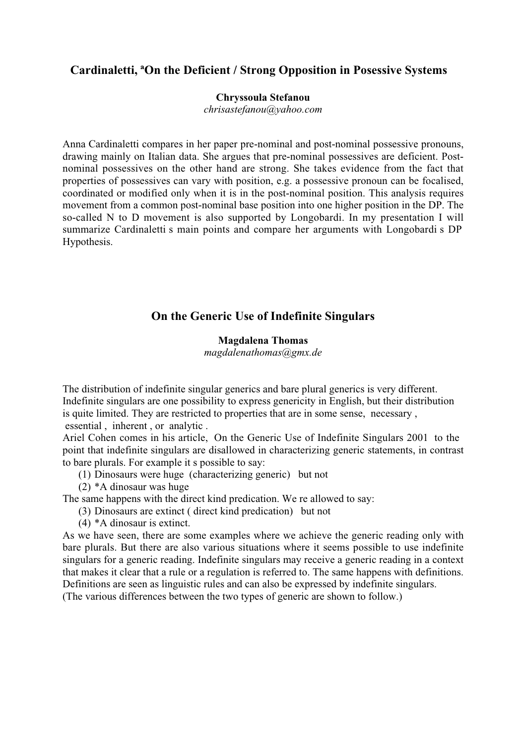# **Cardinaletti, ªOn the Deficient / Strong Opposition in Posessive Systems**

#### **Chryssoula Stefanou**

*chrisastefanou@yahoo.com*

Anna Cardinaletti compares in her paper pre-nominal and post-nominal possessive pronouns, drawing mainly on Italian data. She argues that pre-nominal possessives are deficient. Postnominal possessives on the other hand are strong. She takes evidence from the fact that properties of possessives can vary with position, e.g. a possessive pronoun can be focalised, coordinated or modified only when it is in the post-nominal position. This analysis requires movement from a common post-nominal base position into one higher position in the DP. The so-called N to D movement is also supported by Longobardi. In my presentation I will summarize Cardinaletti s main points and compare her arguments with Longobardi s DP Hypothesis.

# **On the Generic Use of Indefinite Singulars**

#### **Magdalena Thomas**

*magdalenathomas@gmx.de*

The distribution of indefinite singular generics and bare plural generics is very different. Indefinite singulars are one possibility to express genericity in English, but their distribution is quite limited. They are restricted to properties that are in some sense, necessary , essential , inherent , or analytic .

Ariel Cohen comes in his article, On the Generic Use of Indefinite Singulars 2001 to the point that indefinite singulars are disallowed in characterizing generic statements, in contrast to bare plurals. For example it s possible to say:

- (1) Dinosaurs were huge (characterizing generic) but not
- (2) \*A dinosaur was huge

The same happens with the direct kind predication. We re allowed to say:

- (3) Dinosaurs are extinct ( direct kind predication) but not
- (4) \*A dinosaur is extinct.

As we have seen, there are some examples where we achieve the generic reading only with bare plurals. But there are also various situations where it seems possible to use indefinite singulars for a generic reading. Indefinite singulars may receive a generic reading in a context that makes it clear that a rule or a regulation is referred to. The same happens with definitions. Definitions are seen as linguistic rules and can also be expressed by indefinite singulars.

(The various differences between the two types of generic are shown to follow.)